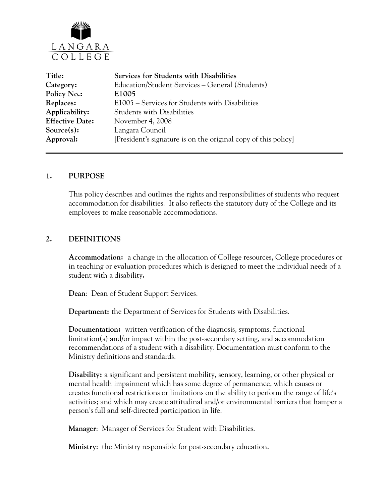

| <b>Services for Students with Disabilities</b>                 |
|----------------------------------------------------------------|
| Education/Student Services - General (Students)                |
| E1005                                                          |
| E1005 – Services for Students with Disabilities                |
| <b>Students with Disabilities</b>                              |
| November 4, 2008                                               |
| Langara Council                                                |
| [President's signature is on the original copy of this policy] |
|                                                                |

### **1. PURPOSE**

This policy describes and outlines the rights and responsibilities of students who request accommodation for disabilities. It also reflects the statutory duty of the College and its employees to make reasonable accommodations.

### **2. DEFINITIONS**

**Accommodation:** a change in the allocation of College resources, College procedures or in teaching or evaluation procedures which is designed to meet the individual needs of a student with a disability**.**

**Dean**: Dean of Student Support Services.

 **Department:** the Department of Services for Students with Disabilities.

**Documentation:** written verification of the diagnosis, symptoms, functional limitation(s) and/or impact within the post-secondary setting, and accommodation recommendations of a student with a disability. Documentation must conform to the Ministry definitions and standards.

**Disability:** a significant and persistent mobility, sensory, learning, or other physical or mental health impairment which has some degree of permanence, which causes or creates functional restrictions or limitations on the ability to perform the range of life's activities; and which may create attitudinal and/or environmental barriers that hamper a person's full and self-directed participation in life.

**Manager**: Manager of Services for Student with Disabilities.

**Ministry**: the Ministry responsible for post-secondary education.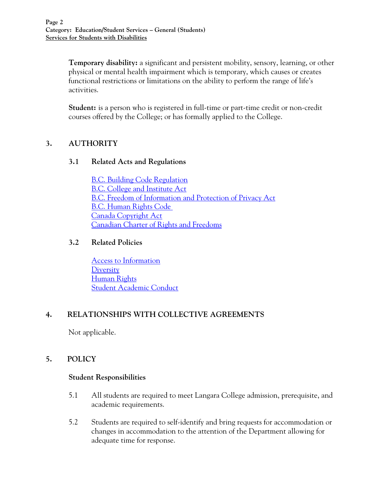**Temporary disability:** a significant and persistent mobility, sensory, learning, or other physical or mental health impairment which is temporary, which causes or creates functional restrictions or limitations on the ability to perform the range of life's activities.

**Student:** is a person who is registered in full-time or part-time credit or non-credit courses offered by the College; or has formally applied to the College.

# **3. AUTHORITY**

### **3.1 Related Acts and Regulations**

[B.C. Building Code Regulation](http://www.qp.gov.bc.ca/statreg/reg/L/LocalGovernment/216_2006.htm) [B.C. College and Institute Act](http://www.qp.gov.bc.ca/statreg/stat/C/96052_01.htm) [B.C. Freedom of Information and Protection of Privacy Act](http://www.qp.gov.bc.ca/statreg/stat/F/96165_01.htm) [B.C. Human Rights Code](http://www.qp.gov.bc.ca/statreg/Stat/H/96210_01.htm)  [Canada Copyright Act](http://laws.justice.gc.ca/en/showdoc/cs/C-42/en?page=1) [Canadian Charter of Rights and Freedoms](http://laws.justice.gc.ca/en/charter/)

### **3.2 Related Policies**

[Access to Information](http://www.langara.bc.ca/about-langara/policies/media/pdfs/B5001.pdf) **[Diversity](http://www.langara.bc.ca/about-langara/policies/media/pdfs/A1004.pdf)** [Human Rights](http://www.langara.bc.ca/about-langara/policies/media/pdfs/B3008.pdf) [Student Academic Conduct](http://www.langara.bc.ca/about-langara/policies/media/pdfs/F1004.pdf)

# **4. RELATIONSHIPS WITH COLLECTIVE AGREEMENTS**

Not applicable.

# **5. POLICY**

#### **Student Responsibilities**

- 5.1 All students are required to meet Langara College admission, prerequisite, and academic requirements.
- 5.2 Students are required to self-identify and bring requests for accommodation or changes in accommodation to the attention of the Department allowing for adequate time for response.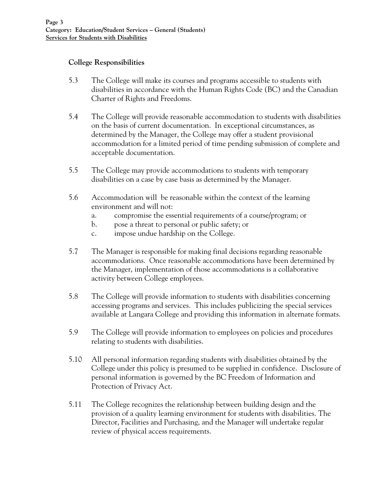## **College Responsibilities**

- 5.3 The College will make its courses and programs accessible to students with disabilities in accordance with the Human Rights Code (BC) and the Canadian Charter of Rights and Freedoms.
- 5.4 The College will provide reasonable accommodation to students with disabilities on the basis of current documentation. In exceptional circumstances, as determined by the Manager, the College may offer a student provisional accommodation for a limited period of time pending submission of complete and acceptable documentation.
- 5.5 The College may provide accommodations to students with temporary disabilities on a case by case basis as determined by the Manager.
- 5.6 Accommodation will be reasonable within the context of the learning environment and will not:
	- a. compromise the essential requirements of a course/program; or
	- b. pose a threat to personal or public safety; or
	- c. impose undue hardship on the College.
- 5.7 The Manager is responsible for making final decisions regarding reasonable accommodations. Once reasonable accommodations have been determined by the Manager, implementation of those accommodations is a collaborative activity between College employees.
- 5.8 The College will provide information to students with disabilities concerning accessing programs and services. This includes publicizing the special services available at Langara College and providing this information in alternate formats.
- 5.9 The College will provide information to employees on policies and procedures relating to students with disabilities.
- 5.10 All personal information regarding students with disabilities obtained by the College under this policy is presumed to be supplied in confidence. Disclosure of personal information is governed by the BC Freedom of Information and Protection of Privacy Act.
- 5.11 The College recognizes the relationship between building design and the provision of a quality learning environment for students with disabilities. The Director, Facilities and Purchasing, and the Manager will undertake regular review of physical access requirements.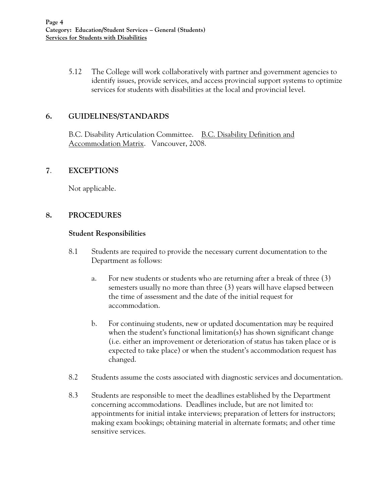5.12 The College will work collaboratively with partner and government agencies to identify issues, provide services, and access provincial support systems to optimize services for students with disabilities at the local and provincial level.

## **6. GUIDELINES/STANDARDS**

B.C. Disability Articulation Committee. B.C. Disability Definition and Accommodation Matrix. Vancouver, 2008.

### **7**. **EXCEPTIONS**

Not applicable.

### **8. PROCEDURES**

#### **Student Responsibilities**

- 8.1 Students are required to provide the necessary current documentation to the Department as follows:
	- a. For new students or students who are returning after a break of three (3) semesters usually no more than three (3) years will have elapsed between the time of assessment and the date of the initial request for accommodation.
	- b. For continuing students, new or updated documentation may be required when the student's functional limitation(s) has shown significant change (i.e. either an improvement or deterioration of status has taken place or is expected to take place) or when the student's accommodation request has changed.
- 8.2 Students assume the costs associated with diagnostic services and documentation.
- 8.3 Students are responsible to meet the deadlines established by the Department concerning accommodations. Deadlines include, but are not limited to: appointments for initial intake interviews; preparation of letters for instructors; making exam bookings; obtaining material in alternate formats; and other time sensitive services.